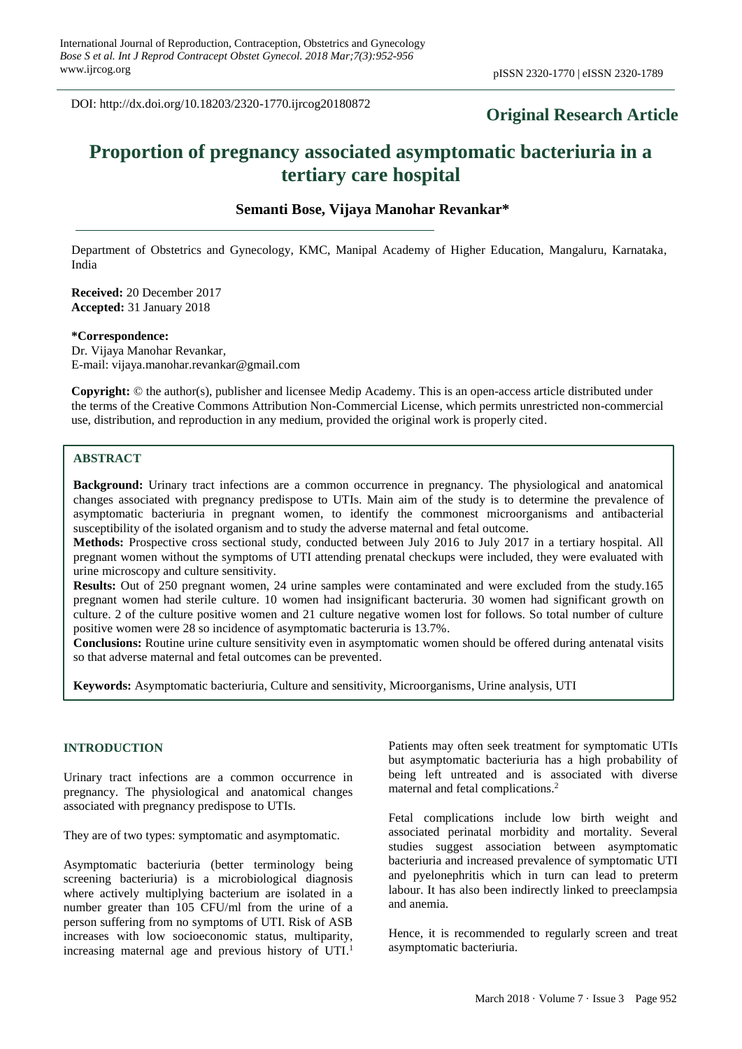DOI: http://dx.doi.org/10.18203/2320-1770.ijrcog20180872

## **Original Research Article**

# **Proportion of pregnancy associated asymptomatic bacteriuria in a tertiary care hospital**

## **Semanti Bose, Vijaya Manohar Revankar\***

Department of Obstetrics and Gynecology, KMC, Manipal Academy of Higher Education, Mangaluru, Karnataka, India

**Received:** 20 December 2017 **Accepted:** 31 January 2018

#### **\*Correspondence:**

Dr. Vijaya Manohar Revankar, E-mail: vijaya.manohar.revankar@gmail.com

**Copyright:** © the author(s), publisher and licensee Medip Academy. This is an open-access article distributed under the terms of the Creative Commons Attribution Non-Commercial License, which permits unrestricted non-commercial use, distribution, and reproduction in any medium, provided the original work is properly cited.

## **ABSTRACT**

**Background:** Urinary tract infections are a common occurrence in pregnancy. The physiological and anatomical changes associated with pregnancy predispose to UTIs. Main aim of the study is to determine the prevalence of asymptomatic bacteriuria in pregnant women, to identify the commonest microorganisms and antibacterial susceptibility of the isolated organism and to study the adverse maternal and fetal outcome.

**Methods:** Prospective cross sectional study, conducted between July 2016 to July 2017 in a tertiary hospital. All pregnant women without the symptoms of UTI attending prenatal checkups were included, they were evaluated with urine microscopy and culture sensitivity.

**Results:** Out of 250 pregnant women, 24 urine samples were contaminated and were excluded from the study.165 pregnant women had sterile culture. 10 women had insignificant bacteruria. 30 women had significant growth on culture. 2 of the culture positive women and 21 culture negative women lost for follows. So total number of culture positive women were 28 so incidence of asymptomatic bacteruria is 13.7%.

**Conclusions:** Routine urine culture sensitivity even in asymptomatic women should be offered during antenatal visits so that adverse maternal and fetal outcomes can be prevented.

**Keywords:** Asymptomatic bacteriuria, Culture and sensitivity, Microorganisms, Urine analysis, UTI

#### **INTRODUCTION**

Urinary tract infections are a common occurrence in pregnancy. The physiological and anatomical changes associated with pregnancy predispose to UTIs.

They are of two types: symptomatic and asymptomatic.

Asymptomatic bacteriuria (better terminology being screening bacteriuria) is a microbiological diagnosis where actively multiplying bacterium are isolated in a number greater than 105 CFU/ml from the urine of a person suffering from no symptoms of UTI. Risk of ASB increases with low socioeconomic status, multiparity, increasing maternal age and previous history of UTI. 1

Patients may often seek treatment for symptomatic UTIs but asymptomatic bacteriuria has a high probability of being left untreated and is associated with diverse maternal and fetal complications. 2

Fetal complications include low birth weight and associated perinatal morbidity and mortality. Several studies suggest association between asymptomatic bacteriuria and increased prevalence of symptomatic UTI and pyelonephritis which in turn can lead to preterm labour. It has also been indirectly linked to preeclampsia and anemia.

Hence, it is recommended to regularly screen and treat asymptomatic bacteriuria.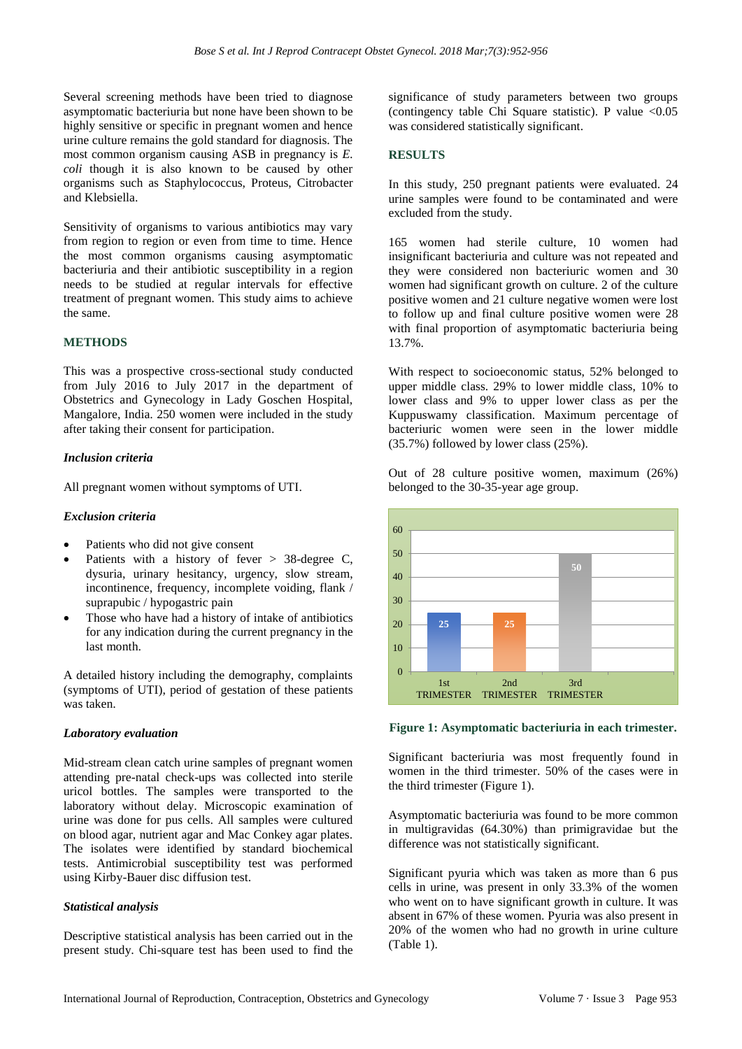Several screening methods have been tried to diagnose asymptomatic bacteriuria but none have been shown to be highly sensitive or specific in pregnant women and hence urine culture remains the gold standard for diagnosis. The most common organism causing ASB in pregnancy is *E. coli* though it is also known to be caused by other organisms such as Staphylococcus, Proteus, Citrobacter and Klebsiella.

Sensitivity of organisms to various antibiotics may vary from region to region or even from time to time. Hence the most common organisms causing asymptomatic bacteriuria and their antibiotic susceptibility in a region needs to be studied at regular intervals for effective treatment of pregnant women. This study aims to achieve the same.

## **METHODS**

This was a prospective cross-sectional study conducted from July 2016 to July 2017 in the department of Obstetrics and Gynecology in Lady Goschen Hospital, Mangalore, India. 250 women were included in the study after taking their consent for participation.

## *Inclusion criteria*

All pregnant women without symptoms of UTI.

#### *Exclusion criteria*

- Patients who did not give consent
- Patients with a history of fever  $> 38$ -degree C, dysuria, urinary hesitancy, urgency, slow stream, incontinence, frequency, incomplete voiding, flank / suprapubic / hypogastric pain
- Those who have had a history of intake of antibiotics for any indication during the current pregnancy in the last month.

A detailed history including the demography, complaints (symptoms of UTI), period of gestation of these patients was taken.

## *Laboratory evaluation*

Mid-stream clean catch urine samples of pregnant women attending pre-natal check-ups was collected into sterile uricol bottles. The samples were transported to the laboratory without delay. Microscopic examination of urine was done for pus cells. All samples were cultured on blood agar, nutrient agar and Mac Conkey agar plates. The isolates were identified by standard biochemical tests. Antimicrobial susceptibility test was performed using Kirby-Bauer disc diffusion test.

## *Statistical analysis*

Descriptive statistical analysis has been carried out in the present study. Chi-square test has been used to find the significance of study parameters between two groups (contingency table Chi Square statistic). P value  $\langle 0.05 \rangle$ was considered statistically significant.

## **RESULTS**

In this study, 250 pregnant patients were evaluated. 24 urine samples were found to be contaminated and were excluded from the study.

165 women had sterile culture, 10 women had insignificant bacteriuria and culture was not repeated and they were considered non bacteriuric women and 30 women had significant growth on culture. 2 of the culture positive women and 21 culture negative women were lost to follow up and final culture positive women were 28 with final proportion of asymptomatic bacteriuria being 13.7%.

With respect to socioeconomic status, 52% belonged to upper middle class. 29% to lower middle class, 10% to lower class and 9% to upper lower class as per the Kuppuswamy classification. Maximum percentage of bacteriuric women were seen in the lower middle (35.7%) followed by lower class (25%).

Out of 28 culture positive women, maximum (26%) belonged to the 30-35-year age group.



### **Figure 1: Asymptomatic bacteriuria in each trimester.**

Significant bacteriuria was most frequently found in women in the third trimester. 50% of the cases were in the third trimester (Figure 1).

Asymptomatic bacteriuria was found to be more common in multigravidas (64.30%) than primigravidae but the difference was not statistically significant.

Significant pyuria which was taken as more than 6 pus cells in urine, was present in only 33.3% of the women who went on to have significant growth in culture. It was absent in 67% of these women. Pyuria was also present in 20% of the women who had no growth in urine culture (Table 1).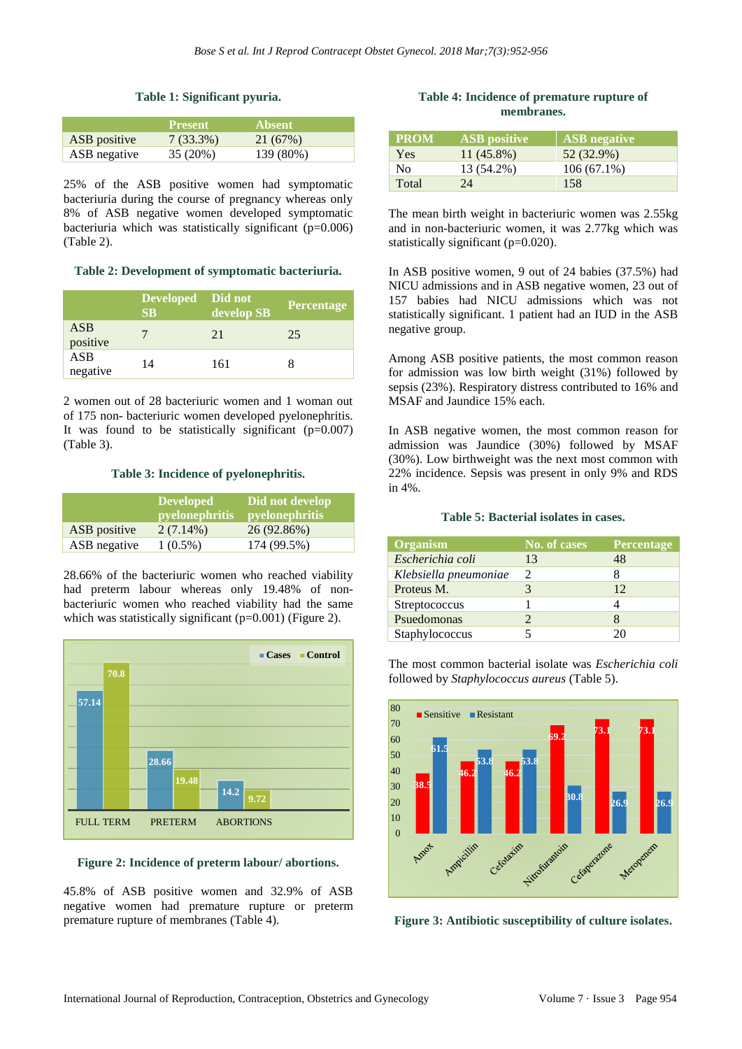## **Table 1: Significant pyuria.**

|              | <b>Present</b> | <b>Absent</b> |  |
|--------------|----------------|---------------|--|
| ASB positive | $7(33.3\%)$    | 21 (67%)      |  |
| ASB negative | 35 (20%)       | 139 (80%)     |  |

25% of the ASB positive women had symptomatic bacteriuria during the course of pregnancy whereas only 8% of ASB negative women developed symptomatic bacteriuria which was statistically significant  $(p=0.006)$ (Table 2).

#### **Table 2: Development of symptomatic bacteriuria.**

|                        | Developed Did not<br>SB | develop SB | Percentage |
|------------------------|-------------------------|------------|------------|
| <b>ASB</b><br>positive |                         | 21         | 25         |
| ASB<br>negative        | 14                      | 161        |            |

2 women out of 28 bacteriuric women and 1 woman out of 175 non- bacteriuric women developed pyelonephritis. It was found to be statistically significant  $(p=0.007)$ (Table 3).

## **Table 3: Incidence of pyelonephritis.**

|              | <b>Developed</b><br><i>pyelonephritis</i> | Did not develop<br><i>pyelonephritis</i> |
|--------------|-------------------------------------------|------------------------------------------|
| ASB positive | $2(7.14\%)$                               | 26 (92.86%)                              |
| ASB negative | $1(0.5\%)$                                | 174 (99.5%)                              |

28.66% of the bacteriuric women who reached viability had preterm labour whereas only 19.48% of nonbacteriuric women who reached viability had the same which was statistically significant (p=0.001) (Figure 2).



**Figure 2: Incidence of preterm labour/ abortions.**

45.8% of ASB positive women and 32.9% of ASB negative women had premature rupture or preterm premature rupture of membranes (Table 4).

**Table 4: Incidence of premature rupture of membranes.**

| <b>PROM</b> | <b>ASB</b> positive | <b>ASB</b> negative |
|-------------|---------------------|---------------------|
| <b>Yes</b>  | $11(45.8\%)$        | 52 (32.9%)          |
| No.         | 13 (54.2%)          | $106(67.1\%)$       |
| Total       | 24                  | 158                 |

The mean birth weight in bacteriuric women was 2.55kg and in non-bacteriuric women, it was 2.77kg which was statistically significant (p=0.020).

In ASB positive women, 9 out of 24 babies (37.5%) had NICU admissions and in ASB negative women, 23 out of 157 babies had NICU admissions which was not statistically significant. 1 patient had an IUD in the ASB negative group.

Among ASB positive patients, the most common reason for admission was low birth weight (31%) followed by sepsis (23%). Respiratory distress contributed to 16% and MSAF and Jaundice 15% each.

In ASB negative women, the most common reason for admission was Jaundice (30%) followed by MSAF (30%). Low birthweight was the next most common with 22% incidence. Sepsis was present in only 9% and RDS in 4%.

#### **Table 5: Bacterial isolates in cases.**

| <b>Organism</b>       | No. of cases                | Percentage |
|-----------------------|-----------------------------|------------|
| Escherichia coli      | 13                          | 48         |
| Klebsiella pneumoniae | $\mathcal{D}_{\mathcal{L}}$ |            |
| Proteus M.            |                             | 12.        |
| Streptococcus         |                             |            |
| Psuedomonas           |                             |            |
| Staphylococcus        |                             |            |

The most common bacterial isolate was *Escherichia coli* followed by *Staphylococcus aureus* (Table 5).



**Figure 3: Antibiotic susceptibility of culture isolates.**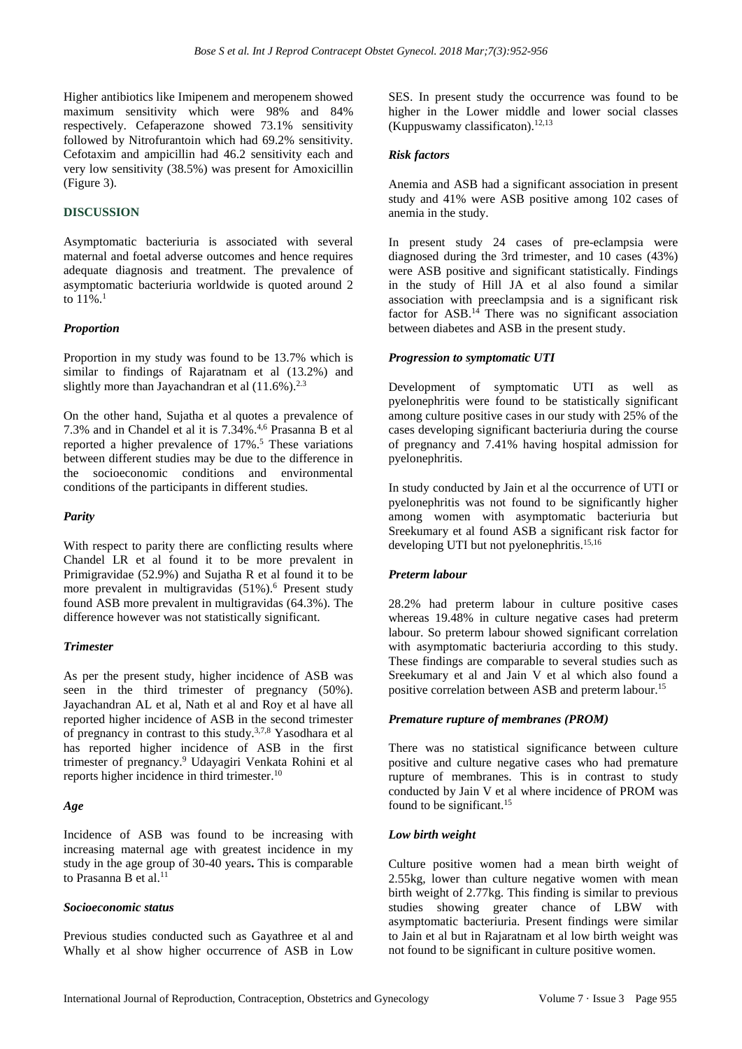Higher antibiotics like Imipenem and meropenem showed maximum sensitivity which were 98% and 84% respectively. Cefaperazone showed 73.1% sensitivity followed by Nitrofurantoin which had 69.2% sensitivity. Cefotaxim and ampicillin had 46.2 sensitivity each and very low sensitivity (38.5%) was present for Amoxicillin (Figure 3).

## **DISCUSSION**

Asymptomatic bacteriuria is associated with several maternal and foetal adverse outcomes and hence requires adequate diagnosis and treatment. The prevalence of asymptomatic bacteriuria worldwide is quoted around 2 to  $11\%$ <sup>1</sup>

#### *Proportion*

Proportion in my study was found to be 13.7% which is similar to findings of Rajaratnam et al (13.2%) and slightly more than Jayachandran et al  $(11.6\%)$ .<sup>2.3</sup>

On the other hand, Sujatha et al quotes a prevalence of 7.3% and in Chandel et al it is 7.34%. 4,6 Prasanna B et al reported a higher prevalence of 17%. <sup>5</sup> These variations between different studies may be due to the difference in the socioeconomic conditions and environmental conditions of the participants in different studies.

#### *Parity*

With respect to parity there are conflicting results where Chandel LR et al found it to be more prevalent in Primigravidae (52.9%) and Sujatha R et al found it to be more prevalent in multigravidas (51%).<sup>6</sup> Present study found ASB more prevalent in multigravidas (64.3%). The difference however was not statistically significant.

#### *Trimester*

As per the present study, higher incidence of ASB was seen in the third trimester of pregnancy (50%). Jayachandran AL et al, Nath et al and Roy et al have all reported higher incidence of ASB in the second trimester of pregnancy in contrast to this study.3,7,8 Yasodhara et al has reported higher incidence of ASB in the first trimester of pregnancy. <sup>9</sup> Udayagiri Venkata Rohini et al reports higher incidence in third trimester. 10

#### *Age*

Incidence of ASB was found to be increasing with increasing maternal age with greatest incidence in my study in the age group of 30-40 years**.** This is comparable to Prasanna B et al.<sup>11</sup>

#### *Socioeconomic status*

Previous studies conducted such as Gayathree et al and Whally et al show higher occurrence of ASB in Low SES. In present study the occurrence was found to be higher in the Lower middle and lower social classes (Kuppuswamy classificaton).<sup>12,13</sup>

## *Risk factors*

Anemia and ASB had a significant association in present study and 41% were ASB positive among 102 cases of anemia in the study.

In present study 24 cases of pre-eclampsia were diagnosed during the 3rd trimester, and 10 cases (43%) were ASB positive and significant statistically. Findings in the study of Hill JA et al also found a similar association with preeclampsia and is a significant risk factor for  $\text{ASB}.^{14}$  There was no significant association between diabetes and ASB in the present study.

#### *Progression to symptomatic UTI*

Development of symptomatic UTI as well as pyelonephritis were found to be statistically significant among culture positive cases in our study with 25% of the cases developing significant bacteriuria during the course of pregnancy and 7.41% having hospital admission for pyelonephritis.

In study conducted by Jain et al the occurrence of UTI or pyelonephritis was not found to be significantly higher among women with asymptomatic bacteriuria but Sreekumary et al found ASB a significant risk factor for developing UTI but not pyelonephritis.<sup>15,16</sup>

#### *Preterm labour*

28.2% had preterm labour in culture positive cases whereas 19.48% in culture negative cases had preterm labour. So preterm labour showed significant correlation with asymptomatic bacteriuria according to this study. These findings are comparable to several studies such as Sreekumary et al and Jain V et al which also found a positive correlation between ASB and preterm labour.<sup>15</sup>

#### *Premature rupture of membranes (PROM)*

There was no statistical significance between culture positive and culture negative cases who had premature rupture of membranes. This is in contrast to study conducted by Jain V et al where incidence of PROM was found to be significant.<sup>15</sup>

#### *Low birth weight*

Culture positive women had a mean birth weight of 2.55kg, lower than culture negative women with mean birth weight of 2.77kg. This finding is similar to previous studies showing greater chance of LBW with asymptomatic bacteriuria. Present findings were similar to Jain et al but in Rajaratnam et al low birth weight was not found to be significant in culture positive women.